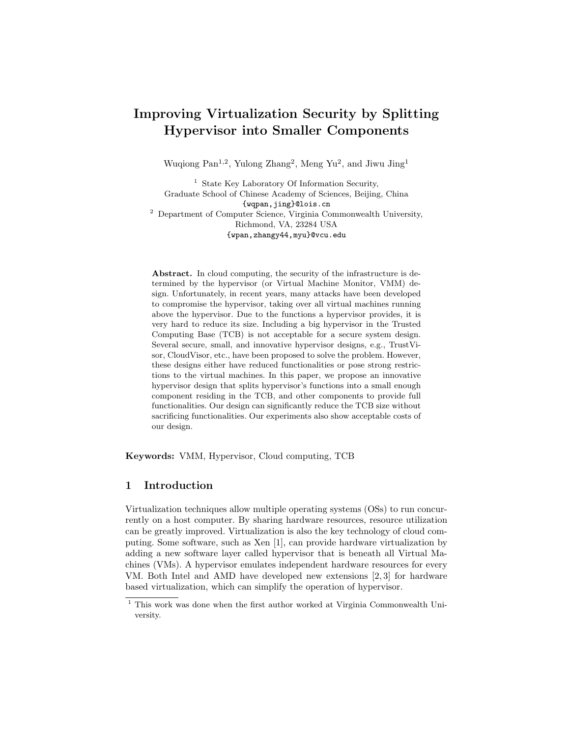# **Improving Virtualization Security by Splitting Hypervisor into Smaller Components**

Wuqiong Pan<sup>1,2</sup>, Yulong Zhang<sup>2</sup>, Meng Yu<sup>2</sup>, and Jiwu Jing<sup>1</sup>

<sup>1</sup> State Key Laboratory Of Information Security, Graduate School of Chinese Academy of Sciences, Beijing, China {wqpan,jing}@lois.cn  $^2$  Department of Computer Science, Virginia Commonwealth University,  $\,$ Richmond, VA, 23284 USA {wpan,zhangy44,myu}@vcu.edu

**Abstract.** In cloud computing, the security of the infrastructure is determined by the hypervisor (or Virtual Machine Monitor, VMM) design. Unfortunately, in recent years, many attacks have been developed to compromise the hypervisor, taking over all virtual machines running above the hypervisor. Due to the functions a hypervisor provides, it is very hard to reduce its size. Including a big hypervisor in the Trusted Computing Base (TCB) is not acceptable for a secure system design. Several secure, small, and innovative hypervisor designs, e.g., TrustVisor, CloudVisor, etc., have been proposed to solve the problem. However, these designs either have reduced functionalities or pose strong restrictions to the virtual machines. In this paper, we propose an innovative hypervisor design that splits hypervisor's functions into a small enough component residing in the TCB, and other components to provide full functionalities. Our design can significantly reduce the TCB size without sacrificing functionalities. Our experiments also show acceptable costs of our design.

**Keywords:** VMM, Hypervisor, Cloud computing, TCB

# **1 Introduction**

Virtualization techniques allow multiple operating systems (OSs) to run concurrently on a host computer. By sharing hardware resources, resource utilization can be greatly improved. Virtualization is also the key technology of cloud computing. Some software, such as Xen [1], can provide hardware virtualization by adding a new software layer called hypervisor that is beneath all Virtual Machines (VMs). A hypervisor emulates independent hardware resources for every VM. Both Intel and AMD have developed new extensions [2, 3] for hardware based virtualization, which can simplify the operation of hypervisor.

 $^{\rm 1}$  This work was done when the first author worked at Virginia Commonwealth University.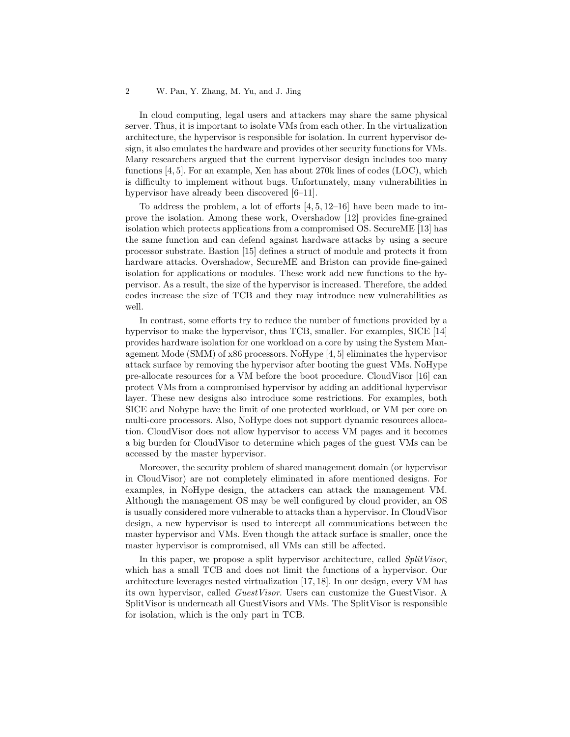In cloud computing, legal users and attackers may share the same physical server. Thus, it is important to isolate VMs from each other. In the virtualization architecture, the hypervisor is responsible for isolation. In current hypervisor design, it also emulates the hardware and provides other security functions for VMs. Many researchers argued that the current hypervisor design includes too many functions [4, 5]. For an example, Xen has about 270k lines of codes (LOC), which is difficulty to implement without bugs. Unfortunately, many vulnerabilities in hypervisor have already been discovered  $[6-11]$ .

To address the problem, a lot of efforts  $[4, 5, 12-16]$  have been made to improve the isolation. Among these work, Overshadow [12] provides fine-grained isolation which protects applications from a compromised OS. SecureME [13] has the same function and can defend against hardware attacks by using a secure processor substrate. Bastion [15] defines a struct of module and protects it from hardware attacks. Overshadow, SecureME and Briston can provide fine-gained isolation for applications or modules. These work add new functions to the hypervisor. As a result, the size of the hypervisor is increased. Therefore, the added codes increase the size of TCB and they may introduce new vulnerabilities as well.

In contrast, some efforts try to reduce the number of functions provided by a hypervisor to make the hypervisor, thus TCB, smaller. For examples, SICE [14] provides hardware isolation for one workload on a core by using the System Management Mode (SMM) of x86 processors. NoHype [4, 5] eliminates the hypervisor attack surface by removing the hypervisor after booting the guest VMs. NoHype pre-allocate resources for a VM before the boot procedure. CloudVisor [16] can protect VMs from a compromised hypervisor by adding an additional hypervisor layer. These new designs also introduce some restrictions. For examples, both SICE and Nohype have the limit of one protected workload, or VM per core on multi-core processors. Also, NoHype does not support dynamic resources allocation. CloudVisor does not allow hypervisor to access VM pages and it becomes a big burden for CloudVisor to determine which pages of the guest VMs can be accessed by the master hypervisor.

Moreover, the security problem of shared management domain (or hypervisor in CloudVisor) are not completely eliminated in afore mentioned designs. For examples, in NoHype design, the attackers can attack the management VM. Although the management OS may be well configured by cloud provider, an OS is usually considered more vulnerable to attacks than a hypervisor. In CloudVisor design, a new hypervisor is used to intercept all communications between the master hypervisor and VMs. Even though the attack surface is smaller, once the master hypervisor is compromised, all VMs can still be affected.

In this paper, we propose a split hypervisor architecture, called *SplitVisor*, which has a small TCB and does not limit the functions of a hypervisor. Our architecture leverages nested virtualization [17, 18]. In our design, every VM has its own hypervisor, called *GuestVisor*. Users can customize the GuestVisor. A SplitVisor is underneath all GuestVisors and VMs. The SplitVisor is responsible for isolation, which is the only part in TCB.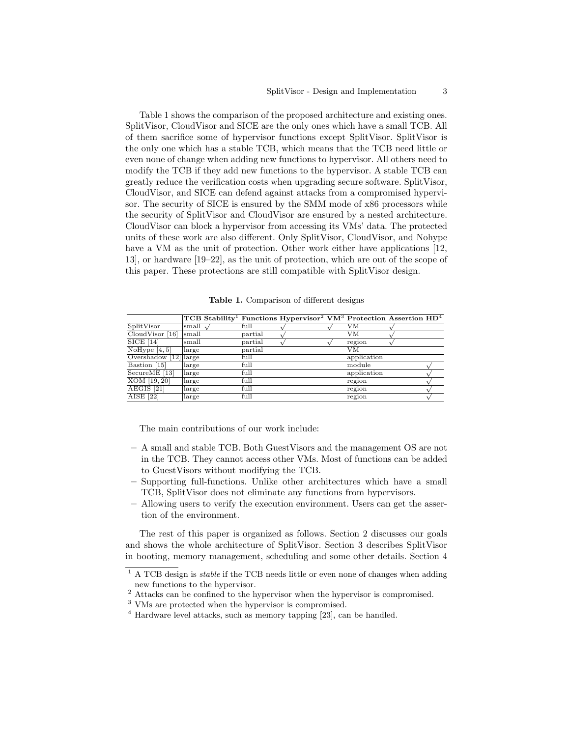Table 1 shows the comparison of the proposed architecture and existing ones. SplitVisor, CloudVisor and SICE are the only ones which have a small TCB. All of them sacrifice some of hypervisor functions except SplitVisor. SplitVisor is the only one which has a stable TCB, which means that the TCB need little or even none of change when adding new functions to hypervisor. All others need to modify the TCB if they add new functions to the hypervisor. A stable TCB can greatly reduce the verification costs when upgrading secure software. SplitVisor, CloudVisor, and SICE can defend against attacks from a compromised hypervisor. The security of SICE is ensured by the SMM mode of x86 processors while the security of SplitVisor and CloudVisor are ensured by a nested architecture. CloudVisor can block a hypervisor from accessing its VMs' data. The protected units of these work are also different. Only SplitVisor, CloudVisor, and Nohype have a VM as the unit of protection. Other work either have applications [12, 13], or hardware [19–22], as the unit of protection, which are out of the scope of this paper. These protections are still compatible with SplitVisor design.

**Table 1.** Comparison of different designs

|                          |                    |         | <b>TCB Stability</b> <sup>1</sup> Functions Hypervisor <sup>2</sup> $VM^3$ Protection Assertion $HD^4$ |             |  |
|--------------------------|--------------------|---------|--------------------------------------------------------------------------------------------------------|-------------|--|
| SplitVisor               | small              | full    |                                                                                                        | VМ          |  |
| CloudVisor [16]          | $ \mathrm{small} $ | partial |                                                                                                        | VМ          |  |
| SICE [14]                | small              | partial |                                                                                                        | region      |  |
| NoHype $[4, 5]$          | large              | partial |                                                                                                        | VМ          |  |
| $Overshadow$ [12] large  |                    | full    |                                                                                                        | application |  |
| Bastion [15]             | large              | full    |                                                                                                        | module      |  |
| SecureME <sup>[13]</sup> | large              | full    |                                                                                                        | application |  |
| XOM [19, 20]             | large              | full    |                                                                                                        | region      |  |
| AEGIS [21]               | large              | full    |                                                                                                        | region      |  |
| AISE [22]                | large              | full    |                                                                                                        | region      |  |

The main contributions of our work include:

- **–** A small and stable TCB. Both GuestVisors and the management OS are not in the TCB. They cannot access other VMs. Most of functions can be added to GuestVisors without modifying the TCB.
- **–** Supporting full-functions. Unlike other architectures which have a small TCB, SplitVisor does not eliminate any functions from hypervisors.
- **–** Allowing users to verify the execution environment. Users can get the assertion of the environment.

The rest of this paper is organized as follows. Section 2 discusses our goals and shows the whole architecture of SplitVisor. Section 3 describes SplitVisor in booting, memory management, scheduling and some other details. Section 4

<sup>&</sup>lt;sup>1</sup> A TCB design is *stable* if the TCB needs little or even none of changes when adding new functions to the hypervisor.

<sup>&</sup>lt;sup>2</sup> Attacks can be confined to the hypervisor when the hypervisor is compromised.

<sup>3</sup> VMs are protected when the hypervisor is compromised.

<sup>4</sup> Hardware level attacks, such as memory tapping [23], can be handled.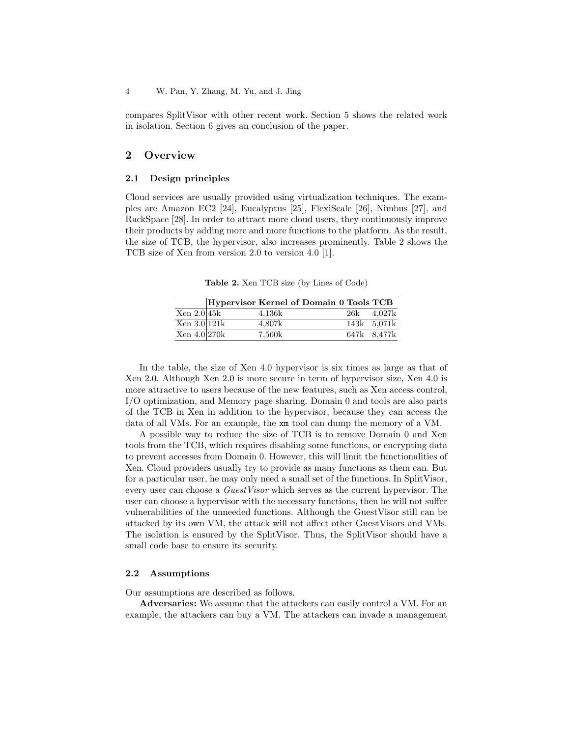compares SplitVisor with other recent work. Section 5 shows the related work in isolation. Section 6 gives an conclusion of the paper.

# **2 Overview**

### **2.1 Design principles**

Cloud services are usually provided using virtualization techniques. The examples are Amazon EC2 [24], Eucalyptus [25], FlexiScale [26], Nimbus [27], and RackSpace [28]. In order to attract more cloud users, they continuously improve their products by adding more and more functions to the platform. As the result, the size of TCB, the hypervisor, also increases prominently. Table 2 shows the TCB size of Xen from version 2.0 to version 4.0 [1].

|                 | Hypervisor Kernel of Domain 0 Tools TCB |     |             |
|-----------------|-----------------------------------------|-----|-------------|
| Xen $2.0 45k$   | 4.136k                                  | 26k | 4.027k      |
| Xen 3.0121k     | 4.807k                                  |     | 143k 5.071k |
| $Xen\ 4.0 270k$ | 7.560k                                  |     | 647k 8.477k |

Table 2. Xen TCB size (by Lines of Code)

In the table, the size of Xen 4.0 hypervisor is six times as large as that of Xen 2.0. Although Xen 2.0 is more secure in term of hypervisor size, Xen 4.0 is more attractive to users because of the new features, such as Xen access control, I/O optimization, and Memory page sharing. Domain 0 and tools are also parts of the TCB in Xen in addition to the hypervisor, because they can access the data of all VMs. For an example, the xm tool can dump the memory of a VM.

A possible way to reduce the size of TCB is to remove Domain 0 and Xen tools from the TCB, which requires disabling some functions, or encrypting data to prevent accesses from Domain 0. However, this will limit the functionalities of Xen. Cloud providers usually try to provide as many functions as them can. But for a particular user, he may only need a small set of the functions. In SplitVisor, every user can choose a *GuestVisor* which serves as the current hypervisor. The user can choose a hypervisor with the necessary functions, then he will not suffer vulnerabilities of the unneeded functions. Although the GuestVisor still can be attacked by its own VM, the attack will not affect other GuestVisors and VMs. The isolation is ensured by the SplitVisor. Thus, the SplitVisor should have a small code base to ensure its security.

## **2.2 Assumptions**

Our assumptions are described as follows.

**Adversaries:** We assume that the attackers can easily control a VM. For an example, the attackers can buy a VM. The attackers can invade a management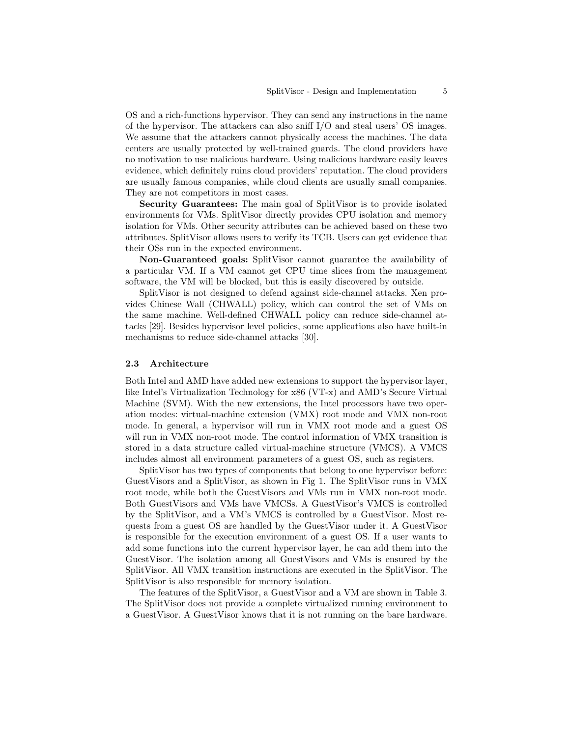OS and a rich-functions hypervisor. They can send any instructions in the name of the hypervisor. The attackers can also sniff I/O and steal users' OS images. We assume that the attackers cannot physically access the machines. The data centers are usually protected by well-trained guards. The cloud providers have no motivation to use malicious hardware. Using malicious hardware easily leaves evidence, which definitely ruins cloud providers' reputation. The cloud providers are usually famous companies, while cloud clients are usually small companies. They are not competitors in most cases.

**Security Guarantees:** The main goal of SplitVisor is to provide isolated environments for VMs. SplitVisor directly provides CPU isolation and memory isolation for VMs. Other security attributes can be achieved based on these two attributes. SplitVisor allows users to verify its TCB. Users can get evidence that their OSs run in the expected environment.

**Non-Guaranteed goals:** SplitVisor cannot guarantee the availability of a particular VM. If a VM cannot get CPU time slices from the management software, the VM will be blocked, but this is easily discovered by outside.

SplitVisor is not designed to defend against side-channel attacks. Xen provides Chinese Wall (CHWALL) policy, which can control the set of VMs on the same machine. Well-defined CHWALL policy can reduce side-channel attacks [29]. Besides hypervisor level policies, some applications also have built-in mechanisms to reduce side-channel attacks [30].

#### **2.3 Architecture**

Both Intel and AMD have added new extensions to support the hypervisor layer, like Intel's Virtualization Technology for x86 (VT-x) and AMD's Secure Virtual Machine (SVM). With the new extensions, the Intel processors have two operation modes: virtual-machine extension (VMX) root mode and VMX non-root mode. In general, a hypervisor will run in VMX root mode and a guest OS will run in VMX non-root mode. The control information of VMX transition is stored in a data structure called virtual-machine structure (VMCS). A VMCS includes almost all environment parameters of a guest OS, such as registers.

SplitVisor has two types of components that belong to one hypervisor before: GuestVisors and a SplitVisor, as shown in Fig 1. The SplitVisor runs in VMX root mode, while both the GuestVisors and VMs run in VMX non-root mode. Both GuestVisors and VMs have VMCSs. A GuestVisor's VMCS is controlled by the SplitVisor, and a VM's VMCS is controlled by a GuestVisor. Most requests from a guest OS are handled by the GuestVisor under it. A GuestVisor is responsible for the execution environment of a guest OS. If a user wants to add some functions into the current hypervisor layer, he can add them into the GuestVisor. The isolation among all GuestVisors and VMs is ensured by the SplitVisor. All VMX transition instructions are executed in the SplitVisor. The SplitVisor is also responsible for memory isolation.

The features of the SplitVisor, a GuestVisor and a VM are shown in Table 3. The SplitVisor does not provide a complete virtualized running environment to a GuestVisor. A GuestVisor knows that it is not running on the bare hardware.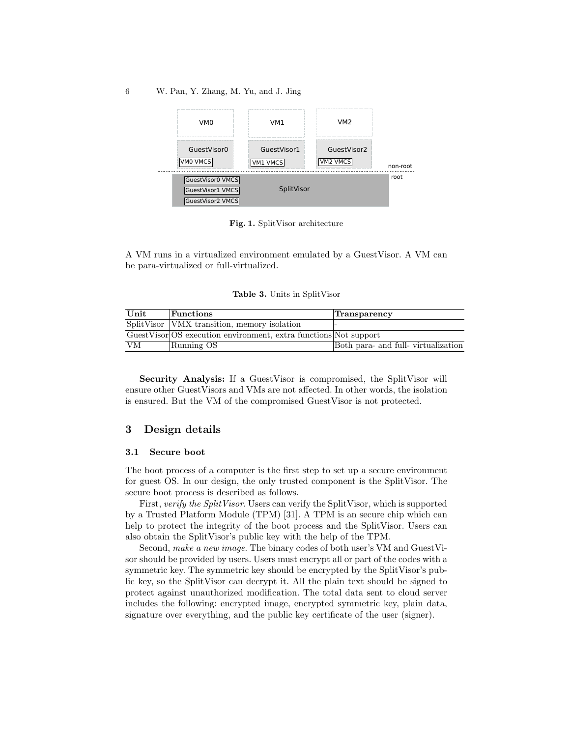

**Fig. 1.** SplitVisor architecture

A VM runs in a virtualized environment emulated by a GuestVisor. A VM can be para-virtualized or full-virtualized.

**Table 3.** Units in SplitVisor

| Unit | Functions                                                        | Transparency                       |
|------|------------------------------------------------------------------|------------------------------------|
|      | SplitVisor VMX transition, memory isolation                      |                                    |
|      | GuestVisor OS execution environment, extra functions Not support |                                    |
| VM   | Running OS                                                       | Both para- and full-virtualization |

**Security Analysis:** If a GuestVisor is compromised, the SplitVisor will ensure other GuestVisors and VMs are not affected. In other words, the isolation is ensured. But the VM of the compromised GuestVisor is not protected.

# **3 Design details**

#### **3.1 Secure boot**

The boot process of a computer is the first step to set up a secure environment for guest OS. In our design, the only trusted component is the SplitVisor. The secure boot process is described as follows.

First, *verify the SplitVisor*. Users can verify the SplitVisor, which is supported by a Trusted Platform Module (TPM) [31]. A TPM is an secure chip which can help to protect the integrity of the boot process and the SplitVisor. Users can also obtain the SplitVisor's public key with the help of the TPM.

Second, *make a new image*. The binary codes of both user's VM and GuestVisor should be provided by users. Users must encrypt all or part of the codes with a symmetric key. The symmetric key should be encrypted by the SplitVisor's public key, so the SplitVisor can decrypt it. All the plain text should be signed to protect against unauthorized modification. The total data sent to cloud server includes the following: encrypted image, encrypted symmetric key, plain data, signature over everything, and the public key certificate of the user (signer).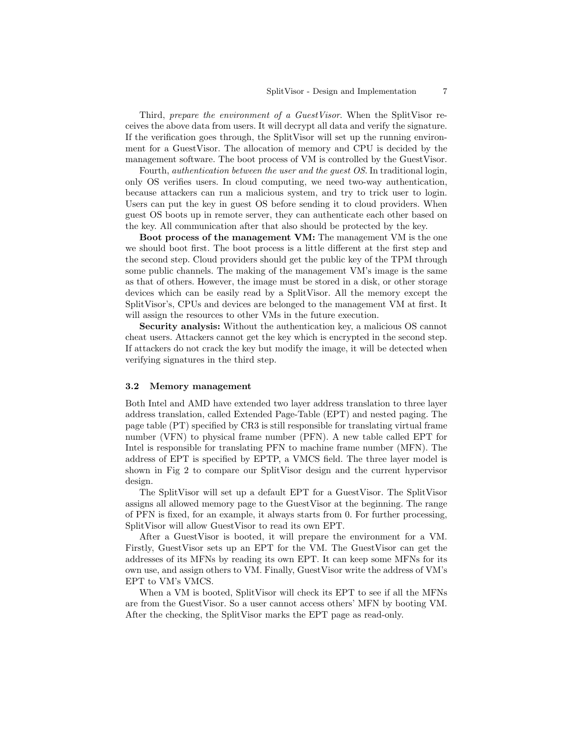Third, *prepare the environment of a GuestVisor*. When the SplitVisor receives the above data from users. It will decrypt all data and verify the signature. If the verification goes through, the SplitVisor will set up the running environment for a GuestVisor. The allocation of memory and CPU is decided by the management software. The boot process of VM is controlled by the GuestVisor.

Fourth, *authentication between the user and the guest OS*. In traditional login, only OS verifies users. In cloud computing, we need two-way authentication, because attackers can run a malicious system, and try to trick user to login. Users can put the key in guest OS before sending it to cloud providers. When guest OS boots up in remote server, they can authenticate each other based on the key. All communication after that also should be protected by the key.

**Boot process of the management VM:** The management VM is the one we should boot first. The boot process is a little different at the first step and the second step. Cloud providers should get the public key of the TPM through some public channels. The making of the management VM's image is the same as that of others. However, the image must be stored in a disk, or other storage devices which can be easily read by a SplitVisor. All the memory except the SplitVisor's, CPUs and devices are belonged to the management VM at first. It will assign the resources to other VMs in the future execution.

**Security analysis:** Without the authentication key, a malicious OS cannot cheat users. Attackers cannot get the key which is encrypted in the second step. If attackers do not crack the key but modify the image, it will be detected when verifying signatures in the third step.

#### **3.2 Memory management**

Both Intel and AMD have extended two layer address translation to three layer address translation, called Extended Page-Table (EPT) and nested paging. The page table (PT) specified by CR3 is still responsible for translating virtual frame number (VFN) to physical frame number (PFN). A new table called EPT for Intel is responsible for translating PFN to machine frame number (MFN). The address of EPT is specified by EPTP, a VMCS field. The three layer model is shown in Fig 2 to compare our SplitVisor design and the current hypervisor design.

The SplitVisor will set up a default EPT for a GuestVisor. The SplitVisor assigns all allowed memory page to the GuestVisor at the beginning. The range of PFN is fixed, for an example, it always starts from 0. For further processing, SplitVisor will allow GuestVisor to read its own EPT.

After a GuestVisor is booted, it will prepare the environment for a VM. Firstly, GuestVisor sets up an EPT for the VM. The GuestVisor can get the addresses of its MFNs by reading its own EPT. It can keep some MFNs for its own use, and assign others to VM. Finally, GuestVisor write the address of VM's EPT to VM's VMCS.

When a VM is booted, SplitVisor will check its EPT to see if all the MFNs are from the GuestVisor. So a user cannot access others' MFN by booting VM. After the checking, the SplitVisor marks the EPT page as read-only.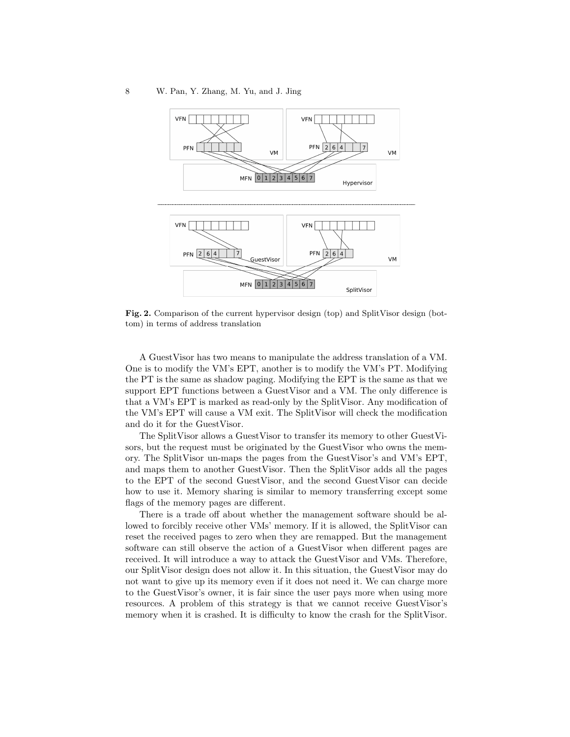

**Fig. 2.** Comparison of the current hypervisor design (top) and SplitVisor design (bottom) in terms of address translation

A GuestVisor has two means to manipulate the address translation of a VM. One is to modify the VM's EPT, another is to modify the VM's PT. Modifying the PT is the same as shadow paging. Modifying the EPT is the same as that we support EPT functions between a GuestVisor and a VM. The only difference is that a VM's EPT is marked as read-only by the SplitVisor. Any modification of the VM's EPT will cause a VM exit. The SplitVisor will check the modification and do it for the GuestVisor.

The SplitVisor allows a GuestVisor to transfer its memory to other GuestVisors, but the request must be originated by the GuestVisor who owns the memory. The SplitVisor un-maps the pages from the GuestVisor's and VM's EPT, and maps them to another GuestVisor. Then the SplitVisor adds all the pages to the EPT of the second GuestVisor, and the second GuestVisor can decide how to use it. Memory sharing is similar to memory transferring except some flags of the memory pages are different.

There is a trade off about whether the management software should be allowed to forcibly receive other VMs' memory. If it is allowed, the SplitVisor can reset the received pages to zero when they are remapped. But the management software can still observe the action of a GuestVisor when different pages are received. It will introduce a way to attack the GuestVisor and VMs. Therefore, our SplitVisor design does not allow it. In this situation, the GuestVisor may do not want to give up its memory even if it does not need it. We can charge more to the GuestVisor's owner, it is fair since the user pays more when using more resources. A problem of this strategy is that we cannot receive GuestVisor's memory when it is crashed. It is difficulty to know the crash for the SplitVisor.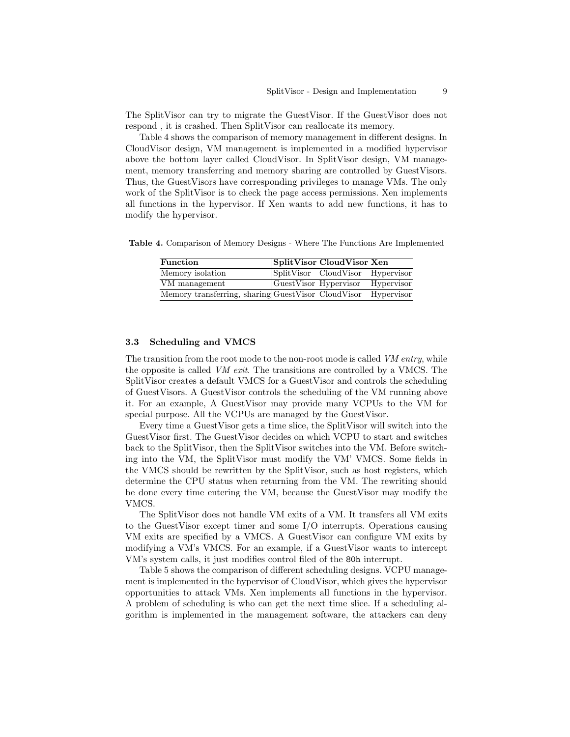The SplitVisor can try to migrate the GuestVisor. If the GuestVisor does not respond , it is crashed. Then SplitVisor can reallocate its memory.

Table 4 shows the comparison of memory management in different designs. In CloudVisor design, VM management is implemented in a modified hypervisor above the bottom layer called CloudVisor. In SplitVisor design, VM management, memory transferring and memory sharing are controlled by GuestVisors. Thus, the GuestVisors have corresponding privileges to manage VMs. The only work of the SplitVisor is to check the page access permissions. Xen implements all functions in the hypervisor. If Xen wants to add new functions, it has to modify the hypervisor.

**Table 4.** Comparison of Memory Designs - Where The Functions Are Implemented

| <b>Function</b>                                    | SplitVisor CloudVisor Xen        |            |
|----------------------------------------------------|----------------------------------|------------|
| Memory isolation                                   | SplitVisor CloudVisor Hypervisor |            |
| VM management                                      | GuestVisor Hypervisor Hypervisor |            |
| Memory transferring, sharing GuestVisor CloudVisor |                                  | Hypervisor |

#### **3.3 Scheduling and VMCS**

The transition from the root mode to the non-root mode is called *VM entry*, while the opposite is called *VM exit*. The transitions are controlled by a VMCS. The SplitVisor creates a default VMCS for a GuestVisor and controls the scheduling of GuestVisors. A GuestVisor controls the scheduling of the VM running above it. For an example, A GuestVisor may provide many VCPUs to the VM for special purpose. All the VCPUs are managed by the GuestVisor.

Every time a GuestVisor gets a time slice, the SplitVisor will switch into the GuestVisor first. The GuestVisor decides on which VCPU to start and switches back to the SplitVisor, then the SplitVisor switches into the VM. Before switching into the VM, the SplitVisor must modify the VM' VMCS. Some fields in the VMCS should be rewritten by the SplitVisor, such as host registers, which determine the CPU status when returning from the VM. The rewriting should be done every time entering the VM, because the GuestVisor may modify the VMCS.

The SplitVisor does not handle VM exits of a VM. It transfers all VM exits to the GuestVisor except timer and some I/O interrupts. Operations causing VM exits are specified by a VMCS. A GuestVisor can configure VM exits by modifying a VM's VMCS. For an example, if a GuestVisor wants to intercept VM's system calls, it just modifies control filed of the 80h interrupt.

Table 5 shows the comparison of different scheduling designs. VCPU management is implemented in the hypervisor of CloudVisor, which gives the hypervisor opportunities to attack VMs. Xen implements all functions in the hypervisor. A problem of scheduling is who can get the next time slice. If a scheduling algorithm is implemented in the management software, the attackers can deny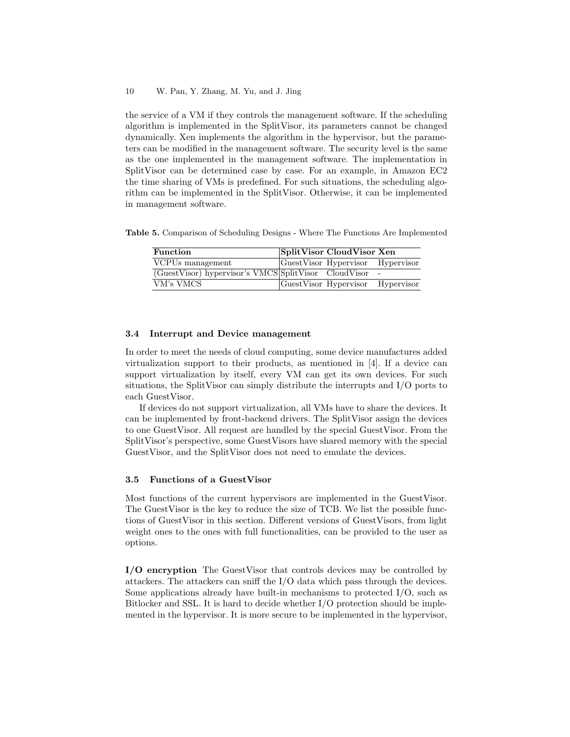the service of a VM if they controls the management software. If the scheduling algorithm is implemented in the SplitVisor, its parameters cannot be changed dynamically. Xen implements the algorithm in the hypervisor, but the parameters can be modified in the management software. The security level is the same as the one implemented in the management software. The implementation in SplitVisor can be determined case by case. For an example, in Amazon EC2 the time sharing of VMs is predefined. For such situations, the scheduling algorithm can be implemented in the SplitVisor. Otherwise, it can be implemented in management software.

**Table 5.** Comparison of Scheduling Designs - Where The Functions Are Implemented

| <b>Function</b>                                        | SplitVisor CloudVisor Xen        |            |
|--------------------------------------------------------|----------------------------------|------------|
| VCPUs management                                       | GuestVisor Hypervisor Hypervisor |            |
| $(GuestVisor)$ hypervisor's VMCS SplitVisor CloudVisor |                                  |            |
| VM's VMCS                                              | GuestVisor Hypervisor            | Hypervisor |

## **3.4 Interrupt and Device management**

In order to meet the needs of cloud computing, some device manufactures added virtualization support to their products, as mentioned in [4]. If a device can support virtualization by itself, every VM can get its own devices. For such situations, the SplitVisor can simply distribute the interrupts and I/O ports to each GuestVisor.

If devices do not support virtualization, all VMs have to share the devices. It can be implemented by front-backend drivers. The SplitVisor assign the devices to one GuestVisor. All request are handled by the special GuestVisor. From the SplitVisor's perspective, some GuestVisors have shared memory with the special GuestVisor, and the SplitVisor does not need to emulate the devices.

## **3.5 Functions of a GuestVisor**

Most functions of the current hypervisors are implemented in the GuestVisor. The GuestVisor is the key to reduce the size of TCB. We list the possible functions of GuestVisor in this section. Different versions of GuestVisors, from light weight ones to the ones with full functionalities, can be provided to the user as options.

**I/O encryption** The GuestVisor that controls devices may be controlled by attackers. The attackers can sniff the I/O data which pass through the devices. Some applications already have built-in mechanisms to protected I/O, such as Bitlocker and SSL. It is hard to decide whether I/O protection should be implemented in the hypervisor. It is more secure to be implemented in the hypervisor,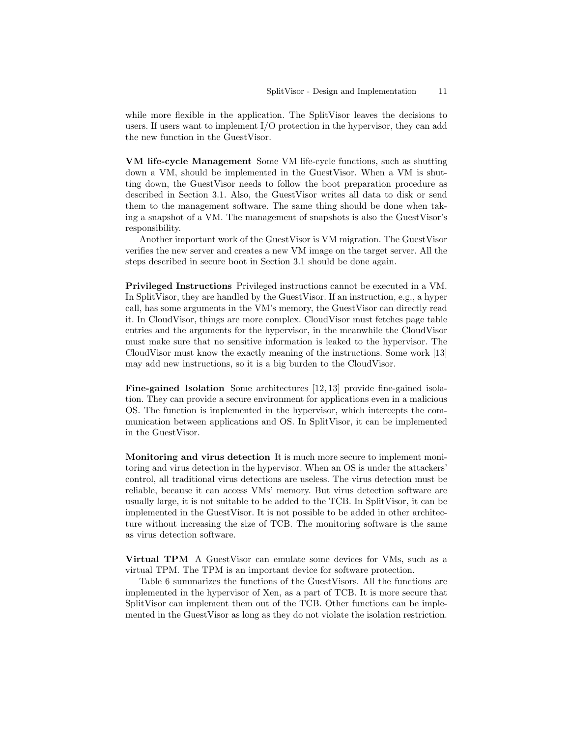while more flexible in the application. The SplitVisor leaves the decisions to users. If users want to implement I/O protection in the hypervisor, they can add the new function in the GuestVisor.

**VM life-cycle Management** Some VM life-cycle functions, such as shutting down a VM, should be implemented in the GuestVisor. When a VM is shutting down, the GuestVisor needs to follow the boot preparation procedure as described in Section 3.1. Also, the GuestVisor writes all data to disk or send them to the management software. The same thing should be done when taking a snapshot of a VM. The management of snapshots is also the GuestVisor's responsibility.

Another important work of the GuestVisor is VM migration. The GuestVisor verifies the new server and creates a new VM image on the target server. All the steps described in secure boot in Section 3.1 should be done again.

**Privileged Instructions** Privileged instructions cannot be executed in a VM. In SplitVisor, they are handled by the GuestVisor. If an instruction, e.g., a hyper call, has some arguments in the VM's memory, the GuestVisor can directly read it. In CloudVisor, things are more complex. CloudVisor must fetches page table entries and the arguments for the hypervisor, in the meanwhile the CloudVisor must make sure that no sensitive information is leaked to the hypervisor. The CloudVisor must know the exactly meaning of the instructions. Some work [13] may add new instructions, so it is a big burden to the CloudVisor.

**Fine-gained Isolation** Some architectures [12, 13] provide fine-gained isolation. They can provide a secure environment for applications even in a malicious OS. The function is implemented in the hypervisor, which intercepts the communication between applications and OS. In SplitVisor, it can be implemented in the GuestVisor.

**Monitoring and virus detection** It is much more secure to implement monitoring and virus detection in the hypervisor. When an OS is under the attackers' control, all traditional virus detections are useless. The virus detection must be reliable, because it can access VMs' memory. But virus detection software are usually large, it is not suitable to be added to the TCB. In SplitVisor, it can be implemented in the GuestVisor. It is not possible to be added in other architecture without increasing the size of TCB. The monitoring software is the same as virus detection software.

**Virtual TPM** A GuestVisor can emulate some devices for VMs, such as a virtual TPM. The TPM is an important device for software protection.

Table 6 summarizes the functions of the GuestVisors. All the functions are implemented in the hypervisor of Xen, as a part of TCB. It is more secure that SplitVisor can implement them out of the TCB. Other functions can be implemented in the GuestVisor as long as they do not violate the isolation restriction.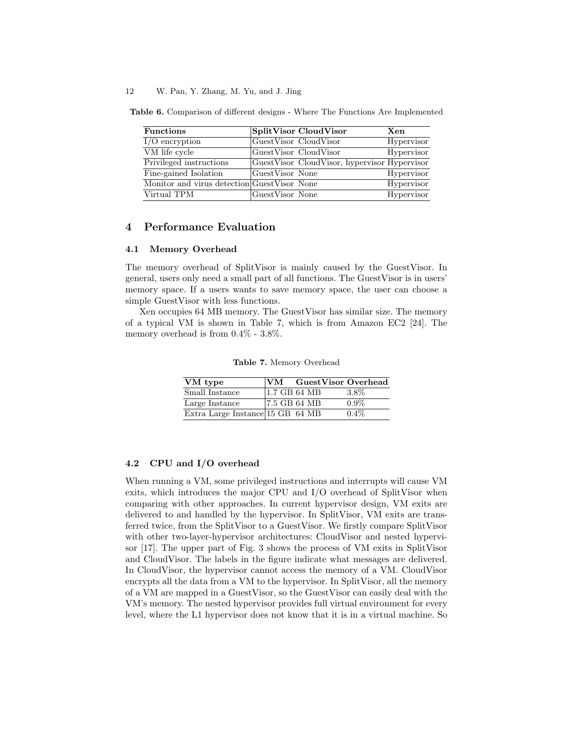**Table 6.** Comparison of different designs - Where The Functions Are Implemented

| <b>Functions</b>                            |                 | SplitVisor CloudVisor                        | Xen        |
|---------------------------------------------|-----------------|----------------------------------------------|------------|
| $I/O$ encryption                            |                 | GuestVisor CloudVisor                        | Hypervisor |
| $\overline{\text{VM}}$ life cycle           |                 | GuestVisor CloudVisor                        | Hypervisor |
| Privileged instructions                     |                 | GuestVisor CloudVisor, hypervisor Hypervisor |            |
| Fine-gained Isolation                       | GuestVisor None |                                              | Hypervisor |
| Monitor and virus detection GuestVisor None |                 |                                              | Hypervisor |
| Virtual TPM                                 | GuestVisor None |                                              | Hypervisor |

# **4 Performance Evaluation**

#### **4.1 Memory Overhead**

The memory overhead of SplitVisor is mainly caused by the GuestVisor. In general, users only need a small part of all functions. The GuestVisor is in users' memory space. If a users wants to save memory space, the user can choose a simple GuestVisor with less functions.

Xen occupies 64 MB memory. The GuestVisor has similar size. The memory of a typical VM is shown in Table 7, which is from Amazon EC2 [24]. The memory overhead is from 0.4% - 3.8%.

| VM type                          | VM              | <b>GuestVisor Overhead</b> |         |
|----------------------------------|-----------------|----------------------------|---------|
| Small Instance                   | $ 1.7$ GB 64 MB |                            | $3.8\%$ |
| Large Instance                   | 7.5 GB 64 MB    |                            | $0.9\%$ |
| Extra Large Instance 15 GB 64 MB |                 |                            | $0.4\%$ |

**Table 7.** Memory Overhead

#### **4.2 CPU and I/O overhead**

When running a VM, some privileged instructions and interrupts will cause VM exits, which introduces the major CPU and I/O overhead of SplitVisor when comparing with other approaches. In current hypervisor design, VM exits are delivered to and handled by the hypervisor. In SplitVisor, VM exits are transferred twice, from the SplitVisor to a GuestVisor. We firstly compare SplitVisor with other two-layer-hypervisor architectures: CloudVisor and nested hypervisor [17]. The upper part of Fig. 3 shows the process of VM exits in SplitVisor and CloudVisor. The labels in the figure indicate what messages are delivered. In CloudVisor, the hypervisor cannot access the memory of a VM. CloudVisor encrypts all the data from a VM to the hypervisor. In SplitVisor, all the memory of a VM are mapped in a GuestVisor, so the GuestVisor can easily deal with the VM's memory. The nested hypervisor provides full virtual environment for every level, where the L1 hypervisor does not know that it is in a virtual machine. So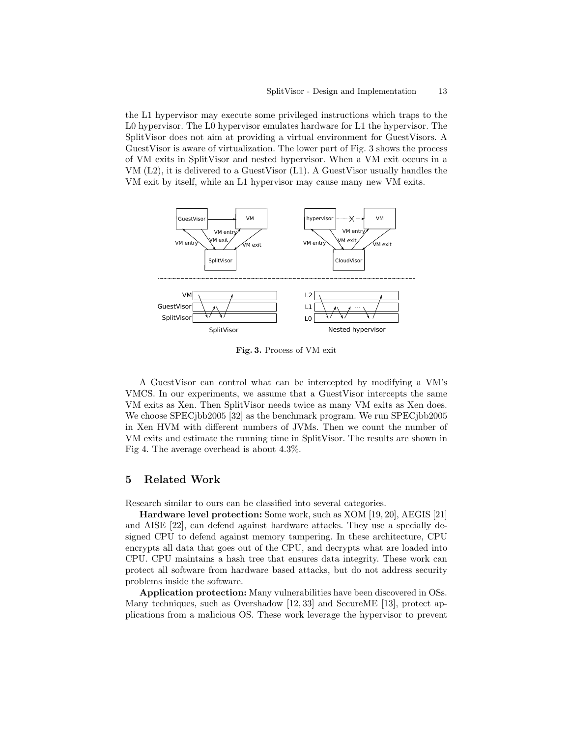the L1 hypervisor may execute some privileged instructions which traps to the L0 hypervisor. The L0 hypervisor emulates hardware for L1 the hypervisor. The SplitVisor does not aim at providing a virtual environment for GuestVisors. A GuestVisor is aware of virtualization. The lower part of Fig. 3 shows the process of VM exits in SplitVisor and nested hypervisor. When a VM exit occurs in a VM (L2), it is delivered to a GuestVisor (L1). A GuestVisor usually handles the VM exit by itself, while an L1 hypervisor may cause many new VM exits.



**Fig. 3.** Process of VM exit

A GuestVisor can control what can be intercepted by modifying a VM's VMCS. In our experiments, we assume that a GuestVisor intercepts the same VM exits as Xen. Then SplitVisor needs twice as many VM exits as Xen does. We choose SPECjbb2005 [32] as the benchmark program. We run SPECjbb2005 in Xen HVM with different numbers of JVMs. Then we count the number of VM exits and estimate the running time in SplitVisor. The results are shown in Fig 4. The average overhead is about 4.3%.

# **5 Related Work**

Research similar to ours can be classified into several categories.

**Hardware level protection:** Some work, such as XOM [19, 20], AEGIS [21] and AISE [22], can defend against hardware attacks. They use a specially designed CPU to defend against memory tampering. In these architecture, CPU encrypts all data that goes out of the CPU, and decrypts what are loaded into CPU. CPU maintains a hash tree that ensures data integrity. These work can protect all software from hardware based attacks, but do not address security problems inside the software.

**Application protection:** Many vulnerabilities have been discovered in OSs. Many techniques, such as Overshadow [12, 33] and SecureME [13], protect applications from a malicious OS. These work leverage the hypervisor to prevent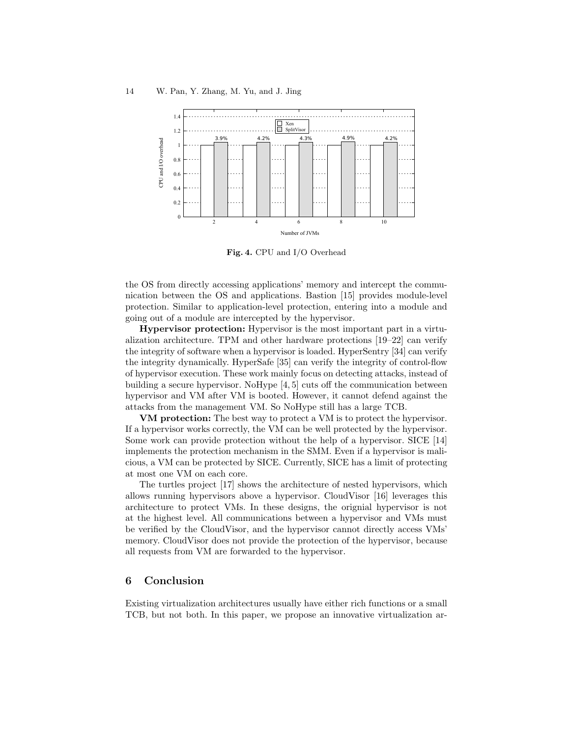

**Fig. 4.** CPU and I/O Overhead

the OS from directly accessing applications' memory and intercept the communication between the OS and applications. Bastion [15] provides module-level protection. Similar to application-level protection, entering into a module and going out of a module are intercepted by the hypervisor.

**Hypervisor protection:** Hypervisor is the most important part in a virtualization architecture. TPM and other hardware protections [19–22] can verify the integrity of software when a hypervisor is loaded. HyperSentry [34] can verify the integrity dynamically. HyperSafe [35] can verify the integrity of control-flow of hypervisor execution. These work mainly focus on detecting attacks, instead of building a secure hypervisor. NoHype [4, 5] cuts off the communication between hypervisor and VM after VM is booted. However, it cannot defend against the attacks from the management VM. So NoHype still has a large TCB.

**VM protection:** The best way to protect a VM is to protect the hypervisor. If a hypervisor works correctly, the VM can be well protected by the hypervisor. Some work can provide protection without the help of a hypervisor. SICE [14] implements the protection mechanism in the SMM. Even if a hypervisor is malicious, a VM can be protected by SICE. Currently, SICE has a limit of protecting at most one VM on each core.

The turtles project [17] shows the architecture of nested hypervisors, which allows running hypervisors above a hypervisor. CloudVisor [16] leverages this architecture to protect VMs. In these designs, the orignial hypervisor is not at the highest level. All communications between a hypervisor and VMs must be verified by the CloudVisor, and the hypervisor cannot directly access VMs' memory. CloudVisor does not provide the protection of the hypervisor, because all requests from VM are forwarded to the hypervisor.

# **6 Conclusion**

Existing virtualization architectures usually have either rich functions or a small TCB, but not both. In this paper, we propose an innovative virtualization ar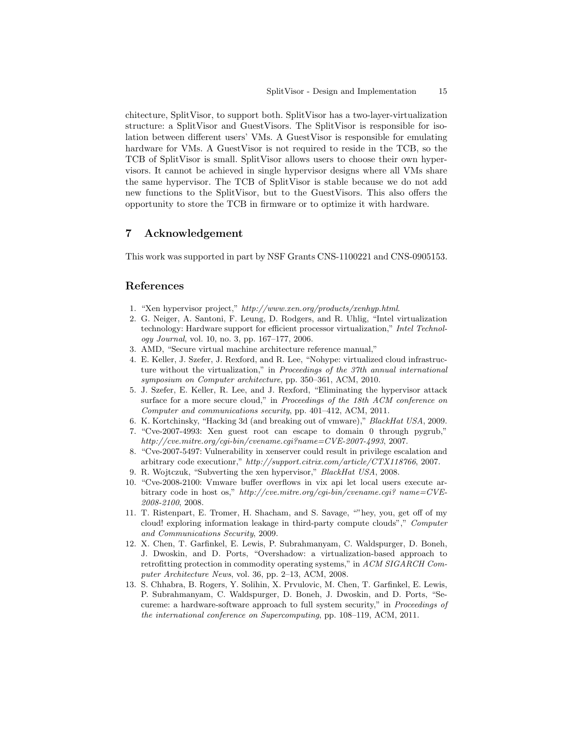chitecture, SplitVisor, to support both. SplitVisor has a two-layer-virtualization structure: a SplitVisor and GuestVisors. The SplitVisor is responsible for isolation between different users' VMs. A GuestVisor is responsible for emulating hardware for VMs. A GuestVisor is not required to reside in the TCB, so the TCB of SplitVisor is small. SplitVisor allows users to choose their own hypervisors. It cannot be achieved in single hypervisor designs where all VMs share the same hypervisor. The TCB of SplitVisor is stable because we do not add new functions to the SplitVisor, but to the GuestVisors. This also offers the opportunity to store the TCB in firmware or to optimize it with hardware.

# **7 Acknowledgement**

This work was supported in part by NSF Grants CNS-1100221 and CNS-0905153.

# **References**

- 1. "Xen hypervisor project," *http://www.xen.org/products/xenhyp.html*.
- 2. G. Neiger, A. Santoni, F. Leung, D. Rodgers, and R. Uhlig, "Intel virtualization technology: Hardware support for efficient processor virtualization," *Intel Technology Journal*, vol. 10, no. 3, pp. 167–177, 2006.
- 3. AMD, "Secure virtual machine architecture reference manual,"
- 4. E. Keller, J. Szefer, J. Rexford, and R. Lee, "Nohype: virtualized cloud infrastructure without the virtualization," in *Proceedings of the 37th annual international symposium on Computer architecture*, pp. 350–361, ACM, 2010.
- 5. J. Szefer, E. Keller, R. Lee, and J. Rexford, "Eliminating the hypervisor attack surface for a more secure cloud," in *Proceedings of the 18th ACM conference on Computer and communications security*, pp. 401–412, ACM, 2011.
- 6. K. Kortchinsky, "Hacking 3d (and breaking out of vmware)," *BlackHat USA*, 2009.
- 7. "Cve-2007-4993: Xen guest root can escape to domain 0 through pygrub," *http://cve.mitre.org/cgi-bin/cvename.cgi?name=CVE-2007-4993*, 2007.
- 8. "Cve-2007-5497: Vulnerability in xenserver could result in privilege escalation and arbitrary code executionr," *http://support.citrix.com/article/CTX118766*, 2007.
- 9. R. Wojtczuk, "Subverting the xen hypervisor," *BlackHat USA*, 2008.
- 10. "Cve-2008-2100: Vmware buffer overflows in vix api let local users execute arbitrary code in host os," *http://cve.mitre.org/cgi-bin/cvename.cgi? name=CVE-2008-2100*, 2008.
- 11. T. Ristenpart, E. Tromer, H. Shacham, and S. Savage, ""hey, you, get off of my cloud! exploring information leakage in third-party compute clouds"," *Computer and Communications Security*, 2009.
- 12. X. Chen, T. Garfinkel, E. Lewis, P. Subrahmanyam, C. Waldspurger, D. Boneh, J. Dwoskin, and D. Ports, "Overshadow: a virtualization-based approach to retrofitting protection in commodity operating systems," in *ACM SIGARCH Computer Architecture News*, vol. 36, pp. 2–13, ACM, 2008.
- 13. S. Chhabra, B. Rogers, Y. Solihin, X. Prvulovic, M. Chen, T. Garfinkel, E. Lewis, P. Subrahmanyam, C. Waldspurger, D. Boneh, J. Dwoskin, and D. Ports, "Secureme: a hardware-software approach to full system security," in *Proceedings of the international conference on Supercomputing*, pp. 108–119, ACM, 2011.